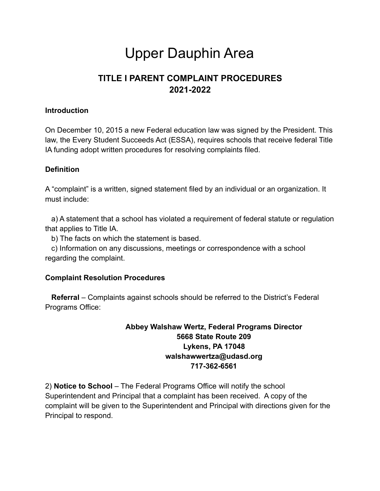# Upper Dauphin Area

# **TITLE I PARENT COMPLAINT PROCEDURES 2021-2022**

#### **Introduction**

On December 10, 2015 a new Federal education law was signed by the President. This law, the Every Student Succeeds Act (ESSA), requires schools that receive federal Title IA funding adopt written procedures for resolving complaints filed.

### **Definition**

A "complaint" is a written, signed statement filed by an individual or an organization. It must include:

a) A statement that a school has violated a requirement of federal statute or regulation that applies to Title IA.

b) The facts on which the statement is based.

c) Information on any discussions, meetings or correspondence with a school regarding the complaint.

#### **Complaint Resolution Procedures**

**Referral** – Complaints against schools should be referred to the District's Federal Programs Office:

## **Abbey Walshaw Wertz, Federal Programs Director 5668 State Route 209 Lykens, PA 17048 walshawwertza@udasd.org 717-362-6561**

2) **Notice to School** – The Federal Programs Office will notify the school Superintendent and Principal that a complaint has been received. A copy of the complaint will be given to the Superintendent and Principal with directions given for the Principal to respond.